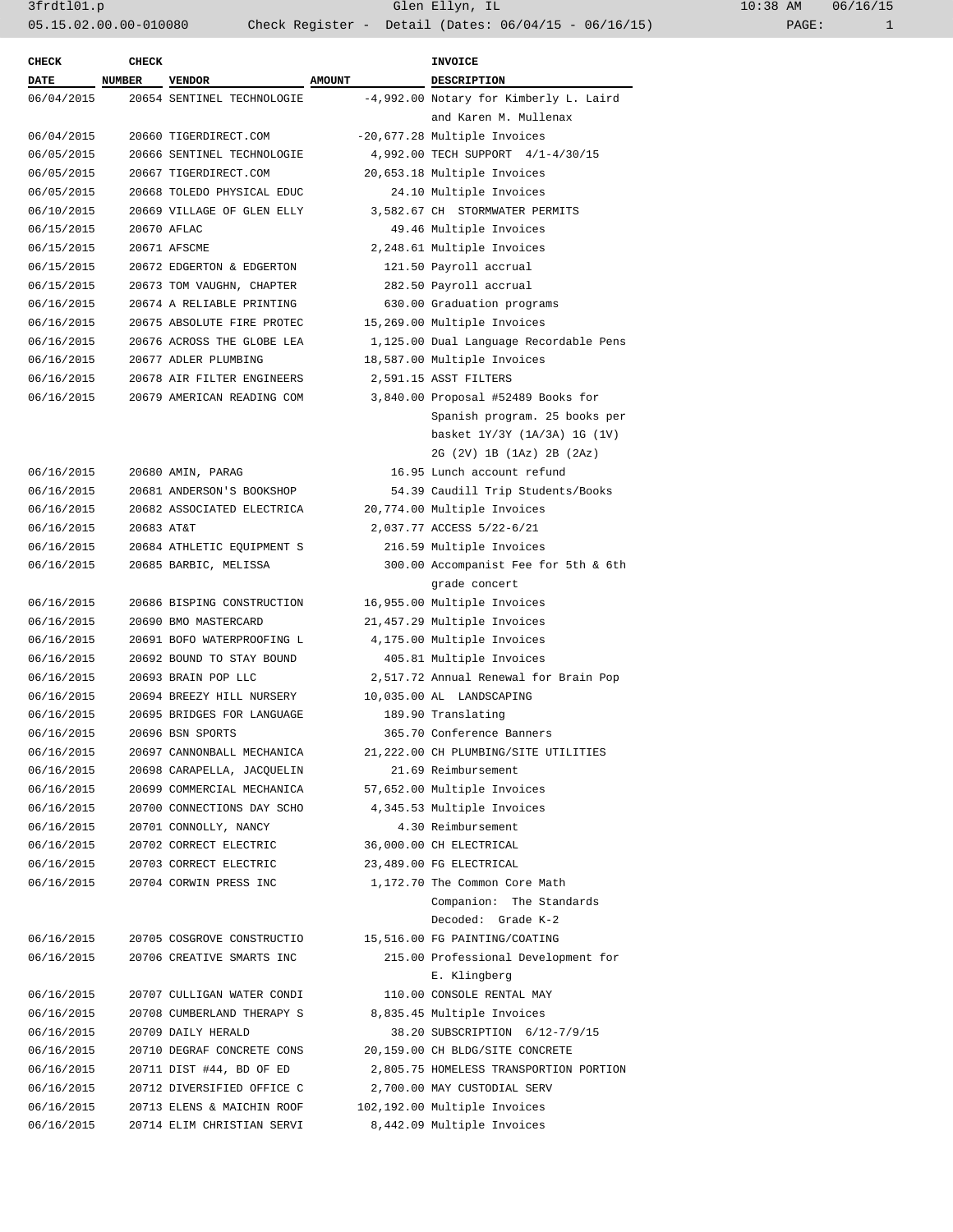| <b>CHECK</b>             | <b>CHECK</b>  |                                                |               | INVOICE                                            |
|--------------------------|---------------|------------------------------------------------|---------------|----------------------------------------------------|
| <b>DATE</b>              | <b>NUMBER</b> | <b>VENDOR</b>                                  | <b>AMOUNT</b> | DESCRIPTION                                        |
| 06/04/2015               |               | 20654 SENTINEL TECHNOLOGIE                     |               | -4,992.00 Notary for Kimberly L. Laird             |
|                          |               |                                                |               | and Karen M. Mullenax                              |
| 06/04/2015               |               | 20660 TIGERDIRECT.COM                          |               | -20,677.28 Multiple Invoices                       |
| 06/05/2015               |               | 20666 SENTINEL TECHNOLOGIE                     |               | 4,992.00 TECH SUPPORT 4/1-4/30/15                  |
| 06/05/2015               |               | 20667 TIGERDIRECT.COM                          |               | 20,653.18 Multiple Invoices                        |
| 06/05/2015               |               | 20668 TOLEDO PHYSICAL EDUC                     |               | 24.10 Multiple Invoices                            |
| 06/10/2015               |               | 20669 VILLAGE OF GLEN ELLY                     |               | 3,582.67 CH STORMWATER PERMITS                     |
| 06/15/2015               |               | 20670 AFLAC                                    |               | 49.46 Multiple Invoices                            |
| 06/15/2015               |               | 20671 AFSCME                                   |               | 2,248.61 Multiple Invoices                         |
| 06/15/2015               |               | 20672 EDGERTON & EDGERTON                      |               | 121.50 Payroll accrual                             |
| 06/15/2015               |               | 20673 TOM VAUGHN, CHAPTER                      |               | 282.50 Payroll accrual                             |
| 06/16/2015               |               | 20674 A RELIABLE PRINTING                      |               | 630.00 Graduation programs                         |
| 06/16/2015               |               | 20675 ABSOLUTE FIRE PROTEC                     |               | 15,269.00 Multiple Invoices                        |
| 06/16/2015               |               | 20676 ACROSS THE GLOBE LEA                     |               | 1,125.00 Dual Language Recordable Pens             |
| 06/16/2015               |               | 20677 ADLER PLUMBING                           |               | 18,587.00 Multiple Invoices                        |
| 06/16/2015               |               | 20678 AIR FILTER ENGINEERS                     |               | 2,591.15 ASST FILTERS                              |
| 06/16/2015               |               | 20679 AMERICAN READING COM                     |               | 3,840.00 Proposal #52489 Books for                 |
|                          |               |                                                |               | Spanish program. 25 books per                      |
|                          |               |                                                |               | basket 1Y/3Y (1A/3A) 1G (1V)                       |
|                          |               |                                                |               | 2G (2V) 1B (1Az) 2B (2Az)                          |
| 06/16/2015               |               | 20680 AMIN, PARAG                              |               | 16.95 Lunch account refund                         |
| 06/16/2015               |               | 20681 ANDERSON'S BOOKSHOP                      |               | 54.39 Caudill Trip Students/Books                  |
| 06/16/2015               |               | 20682 ASSOCIATED ELECTRICA                     |               | 20,774.00 Multiple Invoices                        |
| 06/16/2015               | 20683 AT&T    |                                                |               | 2,037.77 ACCESS 5/22-6/21                          |
| 06/16/2015               |               | 20684 ATHLETIC EQUIPMENT S                     |               | 216.59 Multiple Invoices                           |
| 06/16/2015               |               | 20685 BARBIC, MELISSA                          |               | 300.00 Accompanist Fee for 5th & 6th               |
|                          |               |                                                |               | grade concert                                      |
| 06/16/2015               |               | 20686 BISPING CONSTRUCTION                     |               | 16,955.00 Multiple Invoices                        |
| 06/16/2015               |               | 20690 BMO MASTERCARD                           |               | 21,457.29 Multiple Invoices                        |
| 06/16/2015               |               | 20691 BOFO WATERPROOFING L                     |               | 4,175.00 Multiple Invoices                         |
| 06/16/2015               |               | 20692 BOUND TO STAY BOUND                      |               | 405.81 Multiple Invoices                           |
| 06/16/2015               |               | 20693 BRAIN POP LLC                            |               | 2,517.72 Annual Renewal for Brain Pop              |
| 06/16/2015               |               | 20694 BREEZY HILL NURSERY                      |               | 10,035.00 AL LANDSCAPING                           |
| 06/16/2015               |               | 20695 BRIDGES FOR LANGUAGE                     |               | 189.90 Translating                                 |
| 06/16/2015               |               |                                                |               | 365.70 Conference Banners                          |
|                          |               | 20696 BSN SPORTS<br>20697 CANNONBALL MECHANICA |               | 21, 222.00 CH PLUMBING/SITE UTILITIES              |
| 06/16/2015<br>06/16/2015 |               | 20698 CARAPELLA, JACOUELIN                     |               |                                                    |
| 06/16/2015               |               |                                                |               | 21.69 Reimbursement<br>57,652.00 Multiple Invoices |
|                          |               | 20699 COMMERCIAL MECHANICA                     |               | 4,345.53 Multiple Invoices                         |
| 06/16/2015               |               | 20700 CONNECTIONS DAY SCHO                     |               |                                                    |
| 06/16/2015               |               | 20701 CONNOLLY, NANCY                          |               | 4.30 Reimbursement                                 |
| 06/16/2015               |               | 20702 CORRECT ELECTRIC                         |               | 36,000.00 CH ELECTRICAL                            |
| 06/16/2015               |               | 20703 CORRECT ELECTRIC                         |               | 23,489.00 FG ELECTRICAL                            |
| 06/16/2015               |               | 20704 CORWIN PRESS INC                         |               | 1,172.70 The Common Core Math                      |
|                          |               |                                                |               | Companion: The Standards                           |
|                          |               |                                                |               | Decoded: Grade K-2                                 |
| 06/16/2015               |               | 20705 COSGROVE CONSTRUCTIO                     |               | 15,516.00 FG PAINTING/COATING                      |
| 06/16/2015               |               | 20706 CREATIVE SMARTS INC                      |               | 215.00 Professional Development for                |
|                          |               |                                                |               | E. Klingberg                                       |
| 06/16/2015               |               | 20707 CULLIGAN WATER CONDI                     |               | 110.00 CONSOLE RENTAL MAY                          |
| 06/16/2015               |               | 20708 CUMBERLAND THERAPY S                     |               | 8,835.45 Multiple Invoices                         |
| 06/16/2015               |               | 20709 DAILY HERALD                             |               | 38.20 SUBSCRIPTION 6/12-7/9/15                     |
| 06/16/2015               |               | 20710 DEGRAF CONCRETE CONS                     |               | 20,159.00 CH BLDG/SITE CONCRETE                    |
| 06/16/2015               |               | 20711 DIST #44, BD OF ED                       |               | 2,805.75 HOMELESS TRANSPORTION PORTION             |
| 06/16/2015               |               | 20712 DIVERSIFIED OFFICE C                     |               | 2,700.00 MAY CUSTODIAL SERV                        |
| 06/16/2015               |               | 20713 ELENS & MAICHIN ROOF                     |               | 102,192.00 Multiple Invoices                       |
| 06/16/2015               |               | 20714 ELIM CHRISTIAN SERVI                     |               | 8,442.09 Multiple Invoices                         |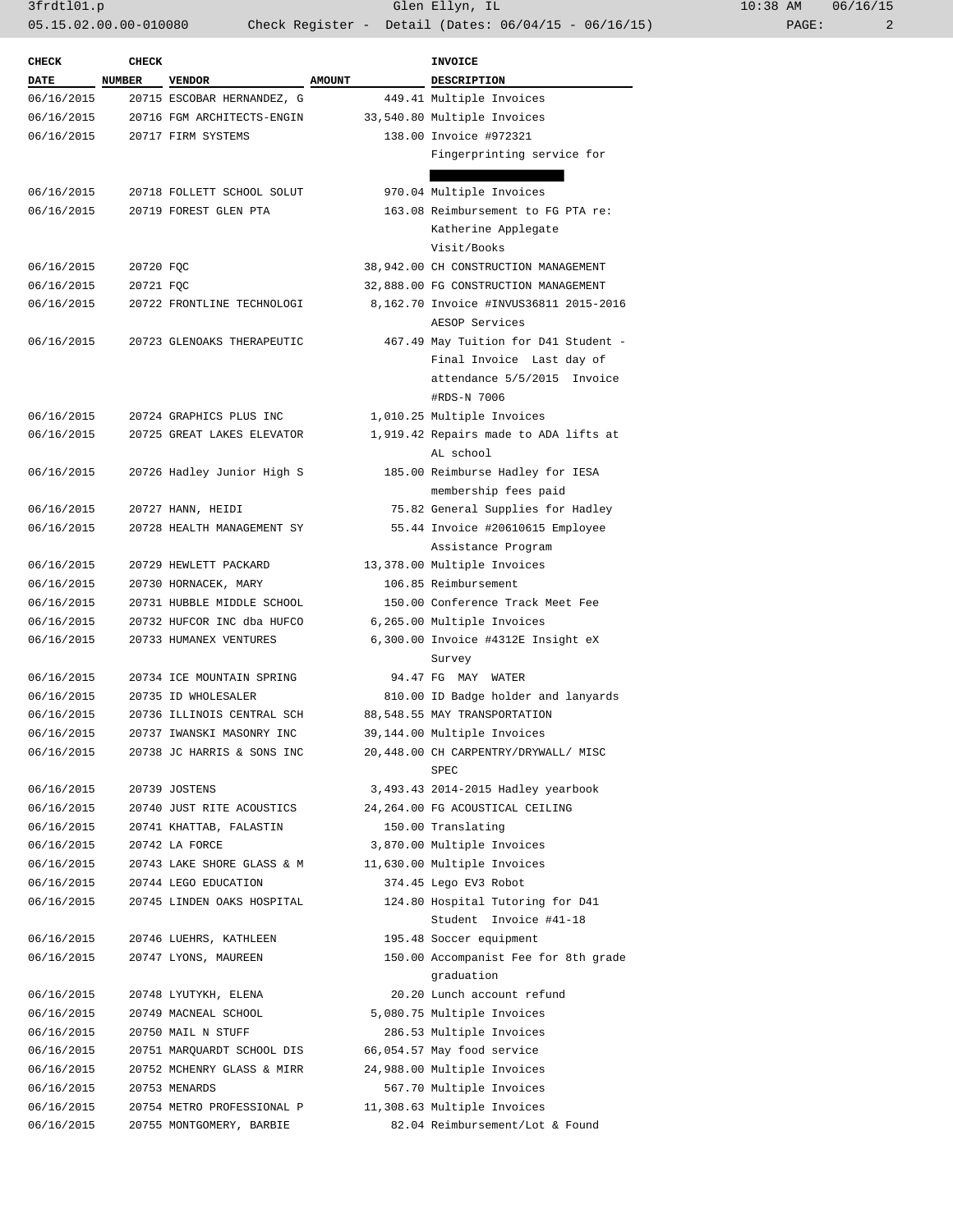3frdtl01.p Glen Ellyn, IL 10:38 AM 06/16/15 05.15.02.00.00-010080 Check Register - Detail (Dates: 06/04/15 - 06/16/15) PAGE: 2

| <b>CHECK</b> | <b>CHECK</b>  |                            |               | <b>INVOICE</b>                                                        |  |
|--------------|---------------|----------------------------|---------------|-----------------------------------------------------------------------|--|
| <b>DATE</b>  | <b>NUMBER</b> | <b>VENDOR</b>              | <b>AMOUNT</b> | <b>DESCRIPTION</b>                                                    |  |
| 06/16/2015   |               | 20715 ESCOBAR HERNANDEZ, G |               | 449.41 Multiple Invoices                                              |  |
| 06/16/2015   |               | 20716 FGM ARCHITECTS-ENGIN |               | 33,540.80 Multiple Invoices                                           |  |
| 06/16/2015   |               | 20717 FIRM SYSTEMS         |               | 138.00 Invoice #972321                                                |  |
|              |               |                            |               | Fingerprinting service for                                            |  |
|              |               |                            |               |                                                                       |  |
| 06/16/2015   |               | 20718 FOLLETT SCHOOL SOLUT |               | 970.04 Multiple Invoices                                              |  |
| 06/16/2015   |               | 20719 FOREST GLEN PTA      |               | 163.08 Reimbursement to FG PTA re:                                    |  |
|              |               |                            |               | Katherine Applegate                                                   |  |
|              |               |                            |               | Visit/Books                                                           |  |
| 06/16/2015   | 20720 FQC     |                            |               | 38,942.00 CH CONSTRUCTION MANAGEMENT                                  |  |
| 06/16/2015   | 20721 FQC     |                            |               | 32,888.00 FG CONSTRUCTION MANAGEMENT                                  |  |
| 06/16/2015   |               | 20722 FRONTLINE TECHNOLOGI |               | 8,162.70 Invoice #INVUS36811 2015-2016<br>AESOP Services              |  |
| 06/16/2015   |               | 20723 GLENOAKS THERAPEUTIC |               | 467.49 May Tuition for D41 Student -                                  |  |
|              |               |                            |               | Final Invoice Last day of                                             |  |
|              |               |                            |               | attendance 5/5/2015 Invoice                                           |  |
|              |               |                            |               | #RDS-N 7006                                                           |  |
| 06/16/2015   |               | 20724 GRAPHICS PLUS INC    |               | 1,010.25 Multiple Invoices                                            |  |
| 06/16/2015   |               | 20725 GREAT LAKES ELEVATOR |               | 1,919.42 Repairs made to ADA lifts at                                 |  |
|              |               |                            |               | AL school                                                             |  |
| 06/16/2015   |               | 20726 Hadley Junior High S |               | 185.00 Reimburse Hadley for IESA                                      |  |
|              |               |                            |               | membership fees paid                                                  |  |
| 06/16/2015   |               | 20727 HANN, HEIDI          |               | 75.82 General Supplies for Hadley                                     |  |
| 06/16/2015   |               | 20728 HEALTH MANAGEMENT SY |               | 55.44 Invoice #20610615 Employee                                      |  |
|              |               |                            |               | Assistance Program                                                    |  |
| 06/16/2015   |               | 20729 HEWLETT PACKARD      |               | 13,378.00 Multiple Invoices                                           |  |
| 06/16/2015   |               | 20730 HORNACEK, MARY       |               | 106.85 Reimbursement                                                  |  |
| 06/16/2015   |               | 20731 HUBBLE MIDDLE SCHOOL |               | 150.00 Conference Track Meet Fee                                      |  |
| 06/16/2015   |               | 20732 HUFCOR INC dba HUFCO |               | 6,265.00 Multiple Invoices                                            |  |
| 06/16/2015   |               | 20733 HUMANEX VENTURES     |               | 6,300.00 Invoice #4312E Insight eX                                    |  |
|              |               |                            |               | Survey                                                                |  |
| 06/16/2015   |               | 20734 ICE MOUNTAIN SPRING  |               | 94.47 FG MAY WATER                                                    |  |
| 06/16/2015   |               | 20735 ID WHOLESALER        |               | 810.00 ID Badge holder and lanyards                                   |  |
| 06/16/2015   |               | 20736 ILLINOIS CENTRAL SCH |               | 88,548.55 MAY TRANSPORTATION                                          |  |
| 06/16/2015   |               | 20737 IWANSKI MASONRY INC  |               | 39,144.00 Multiple Invoices                                           |  |
| 06/16/2015   |               | 20738 JC HARRIS & SONS INC |               | 20,448.00 CH CARPENTRY/DRYWALL/ MISC<br>SPEC                          |  |
| 06/16/2015   |               | 20739 JOSTENS              |               |                                                                       |  |
| 06/16/2015   |               | 20740 JUST RITE ACOUSTICS  |               | 3,493.43 2014-2015 Hadley yearbook<br>24,264.00 FG ACOUSTICAL CEILING |  |
| 06/16/2015   |               | 20741 KHATTAB, FALASTIN    |               | 150.00 Translating                                                    |  |
| 06/16/2015   |               | 20742 LA FORCE             |               | 3,870.00 Multiple Invoices                                            |  |
| 06/16/2015   |               | 20743 LAKE SHORE GLASS & M |               | 11,630.00 Multiple Invoices                                           |  |
| 06/16/2015   |               | 20744 LEGO EDUCATION       |               | 374.45 Lego EV3 Robot                                                 |  |
| 06/16/2015   |               | 20745 LINDEN OAKS HOSPITAL |               | 124.80 Hospital Tutoring for D41                                      |  |
|              |               |                            |               | Student Invoice #41-18                                                |  |
| 06/16/2015   |               | 20746 LUEHRS, KATHLEEN     |               | 195.48 Soccer equipment                                               |  |
| 06/16/2015   |               | 20747 LYONS, MAUREEN       |               | 150.00 Accompanist Fee for 8th grade                                  |  |
|              |               |                            |               | graduation                                                            |  |
| 06/16/2015   |               | 20748 LYUTYKH, ELENA       |               | 20.20 Lunch account refund                                            |  |
| 06/16/2015   |               | 20749 MACNEAL SCHOOL       |               | 5,080.75 Multiple Invoices                                            |  |
| 06/16/2015   |               | 20750 MAIL N STUFF         |               | 286.53 Multiple Invoices                                              |  |
| 06/16/2015   |               | 20751 MARQUARDT SCHOOL DIS |               | 66,054.57 May food service                                            |  |
| 06/16/2015   |               | 20752 MCHENRY GLASS & MIRR |               | 24,988.00 Multiple Invoices                                           |  |
| 06/16/2015   |               | 20753 MENARDS              |               | 567.70 Multiple Invoices                                              |  |
| 06/16/2015   |               | 20754 METRO PROFESSIONAL P |               | 11,308.63 Multiple Invoices                                           |  |
| 06/16/2015   |               | 20755 MONTGOMERY, BARBIE   |               | 82.04 Reimbursement/Lot & Found                                       |  |
|              |               |                            |               |                                                                       |  |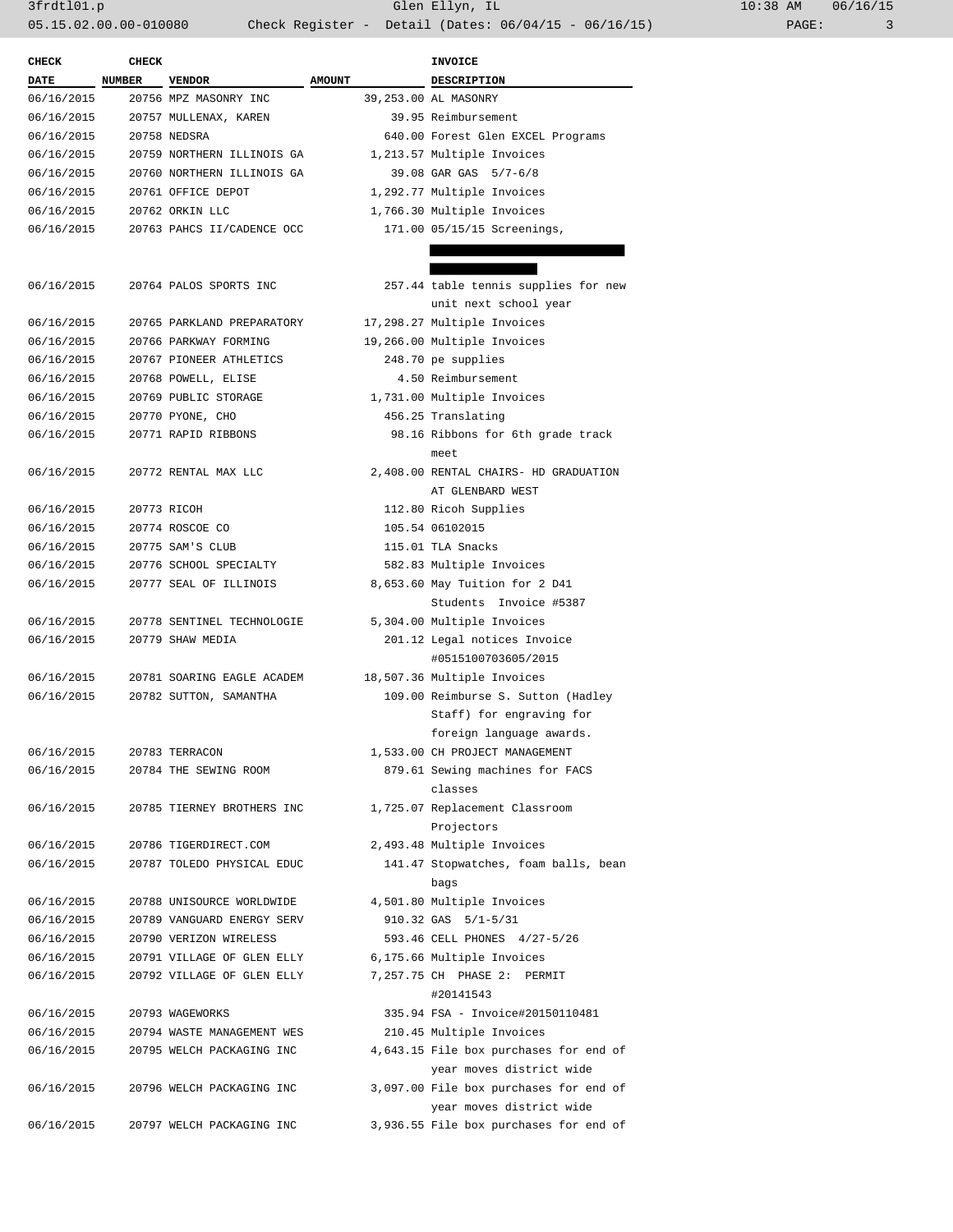3frdtl01.p Glen Ellyn, IL 10:38 AM 06/16/15 05.15.02.00.00-010080 Check Register - Detail (Dates: 06/04/15 - 06/16/15) PAGE: 3

| <b>CHECK</b>             | <b>CHECK</b>  |                                                |               | <b>INVOICE</b>                                             |
|--------------------------|---------------|------------------------------------------------|---------------|------------------------------------------------------------|
| DATE                     | <b>NUMBER</b> | <b>VENDOR</b>                                  | <b>AMOUNT</b> | DESCRIPTION                                                |
| 06/16/2015               |               | 20756 MPZ MASONRY INC                          |               | 39,253.00 AL MASONRY                                       |
| 06/16/2015               |               | 20757 MULLENAX, KAREN                          |               | 39.95 Reimbursement                                        |
| 06/16/2015               |               | 20758 NEDSRA                                   |               | 640.00 Forest Glen EXCEL Programs                          |
| 06/16/2015               |               | 20759 NORTHERN ILLINOIS GA                     |               | 1,213.57 Multiple Invoices                                 |
| 06/16/2015               |               | 20760 NORTHERN ILLINOIS GA                     |               | 39.08 GAR GAS 5/7-6/8                                      |
| 06/16/2015               |               | 20761 OFFICE DEPOT                             |               | 1,292.77 Multiple Invoices                                 |
| 06/16/2015               |               | 20762 ORKIN LLC                                |               | 1,766.30 Multiple Invoices                                 |
| 06/16/2015               |               | 20763 PAHCS II/CADENCE OCC                     |               | 171.00 05/15/15 Screenings,                                |
|                          |               |                                                |               |                                                            |
|                          |               |                                                |               |                                                            |
| 06/16/2015               |               | 20764 PALOS SPORTS INC                         |               | 257.44 table tennis supplies for new                       |
|                          |               |                                                |               | unit next school year                                      |
| 06/16/2015               |               | 20765 PARKLAND PREPARATORY                     |               | 17,298.27 Multiple Invoices                                |
| 06/16/2015               |               | 20766 PARKWAY FORMING                          |               | 19,266.00 Multiple Invoices                                |
| 06/16/2015               |               | 20767 PIONEER ATHLETICS                        |               | 248.70 pe supplies                                         |
| 06/16/2015               |               | 20768 POWELL, ELISE                            |               | 4.50 Reimbursement                                         |
| 06/16/2015               |               | 20769 PUBLIC STORAGE                           |               | 1,731.00 Multiple Invoices                                 |
| 06/16/2015               |               | 20770 PYONE, CHO                               |               | 456.25 Translating                                         |
| 06/16/2015               |               | 20771 RAPID RIBBONS                            |               | 98.16 Ribbons for 6th grade track                          |
|                          |               |                                                |               | meet                                                       |
| 06/16/2015               |               | 20772 RENTAL MAX LLC                           |               | 2,408.00 RENTAL CHAIRS- HD GRADUATION                      |
|                          |               |                                                |               | AT GLENBARD WEST                                           |
| 06/16/2015               |               | 20773 RICOH                                    |               | 112.80 Ricoh Supplies                                      |
| 06/16/2015               |               | 20774 ROSCOE CO                                |               | 105.54 06102015                                            |
| 06/16/2015               |               | 20775 SAM'S CLUB                               |               | 115.01 TLA Snacks                                          |
| 06/16/2015               |               | 20776 SCHOOL SPECIALTY                         |               | 582.83 Multiple Invoices                                   |
| 06/16/2015               |               | 20777 SEAL OF ILLINOIS                         |               | 8,653.60 May Tuition for 2 D41                             |
|                          |               |                                                |               | Students Invoice #5387                                     |
| 06/16/2015<br>06/16/2015 |               | 20778 SENTINEL TECHNOLOGIE<br>20779 SHAW MEDIA |               | 5,304.00 Multiple Invoices<br>201.12 Legal notices Invoice |
|                          |               |                                                |               | #0515100703605/2015                                        |
| 06/16/2015               |               | 20781 SOARING EAGLE ACADEM                     |               | 18,507.36 Multiple Invoices                                |
| 06/16/2015               |               | 20782 SUTTON, SAMANTHA                         |               | 109.00 Reimburse S. Sutton (Hadley                         |
|                          |               |                                                |               | Staff) for engraving for                                   |
|                          |               |                                                |               | foreign language awards.                                   |
| 06/16/2015               |               | 20783 TERRACON                                 |               | 1,533.00 CH PROJECT MANAGEMENT                             |
| 06/16/2015               |               | 20784 THE SEWING ROOM                          |               | 879.61 Sewing machines for FACS                            |
|                          |               |                                                |               | classes                                                    |
| 06/16/2015               |               | 20785 TIERNEY BROTHERS INC                     |               | 1,725.07 Replacement Classroom                             |
|                          |               |                                                |               | Projectors                                                 |
| 06/16/2015               |               | 20786 TIGERDIRECT.COM                          |               | 2,493.48 Multiple Invoices                                 |
| 06/16/2015               |               | 20787 TOLEDO PHYSICAL EDUC                     |               | 141.47 Stopwatches, foam balls, bean                       |
|                          |               |                                                |               | bags                                                       |
| 06/16/2015               |               | 20788 UNISOURCE WORLDWIDE                      |               | 4,501.80 Multiple Invoices                                 |
| 06/16/2015               |               | 20789 VANGUARD ENERGY SERV                     |               | 910.32 GAS 5/1-5/31                                        |
| 06/16/2015               |               | 20790 VERIZON WIRELESS                         |               | 593.46 CELL PHONES 4/27-5/26                               |
| 06/16/2015               |               | 20791 VILLAGE OF GLEN ELLY                     |               | 6,175.66 Multiple Invoices                                 |
| 06/16/2015               |               | 20792 VILLAGE OF GLEN ELLY                     |               | 7,257.75 CH PHASE 2:<br>PERMIT                             |
|                          |               |                                                |               | #20141543                                                  |
| 06/16/2015               |               | 20793 WAGEWORKS                                |               | 335.94 FSA - Invoice#20150110481                           |
| 06/16/2015               |               | 20794 WASTE MANAGEMENT WES                     |               | 210.45 Multiple Invoices                                   |
| 06/16/2015               |               | 20795 WELCH PACKAGING INC                      |               | 4,643.15 File box purchases for end of                     |
|                          |               |                                                |               | year moves district wide                                   |
| 06/16/2015               |               | 20796 WELCH PACKAGING INC                      |               | 3,097.00 File box purchases for end of                     |
|                          |               |                                                |               | year moves district wide                                   |
| 06/16/2015               |               | 20797 WELCH PACKAGING INC                      |               | 3,936.55 File box purchases for end of                     |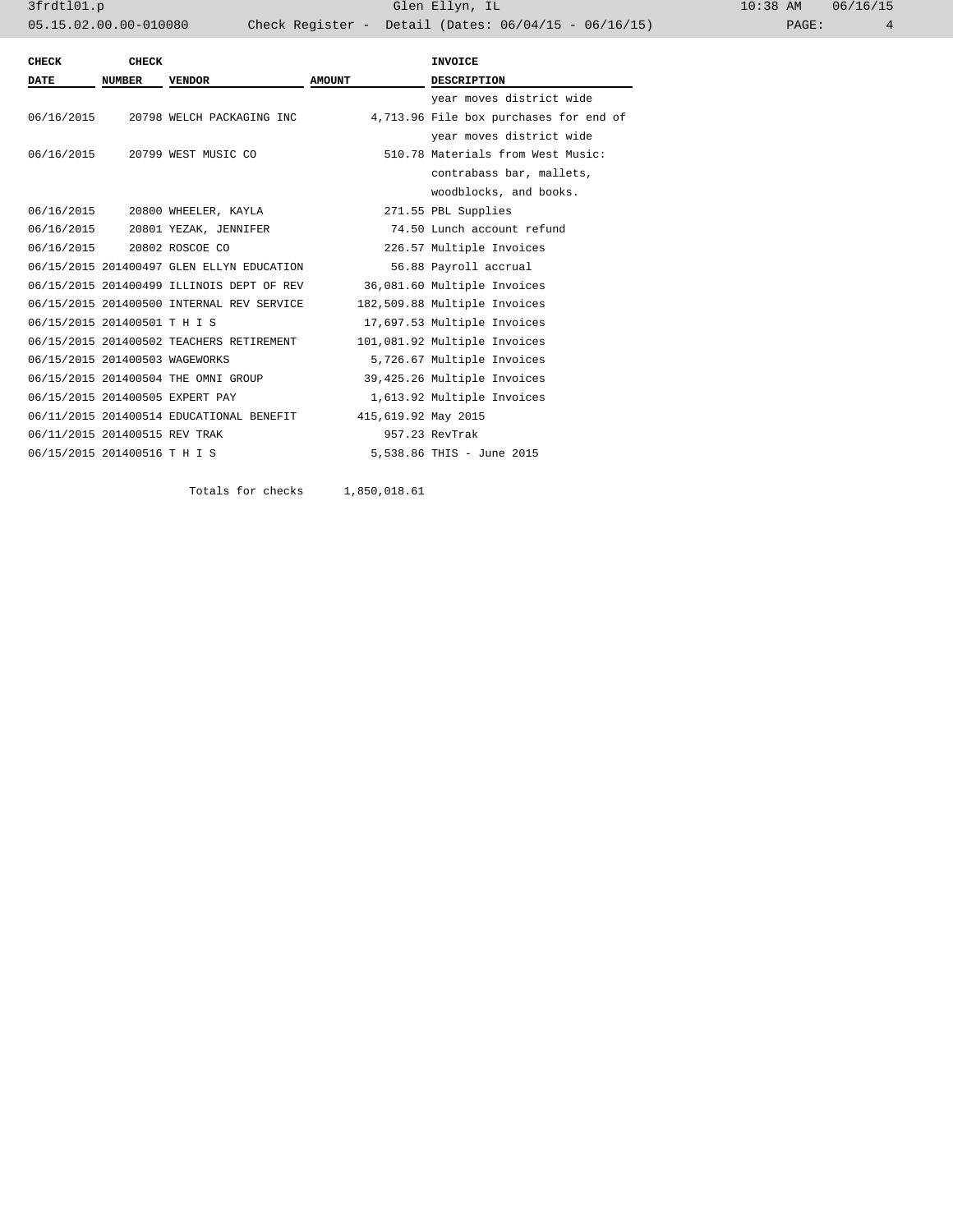| CHECK                          | CHECK         |                                           |                     | <b>INVOICE</b>                         |
|--------------------------------|---------------|-------------------------------------------|---------------------|----------------------------------------|
| <b>DATE</b>                    | <b>NUMBER</b> | <b>VENDOR</b>                             | <b>AMOUNT</b>       | <b>DESCRIPTION</b>                     |
|                                |               |                                           |                     | year moves district wide               |
|                                |               | 06/16/2015 20798 WELCH PACKAGING INC      |                     | 4,713.96 File box purchases for end of |
|                                |               |                                           |                     | year moves district wide               |
|                                |               | 06/16/2015 20799 WEST MUSIC CO            |                     | 510.78 Materials from West Music:      |
|                                |               |                                           |                     | contrabass bar, mallets,               |
|                                |               |                                           |                     | woodblocks, and books.                 |
|                                |               | 06/16/2015 20800 WHEELER, KAYLA           |                     | 271.55 PBL Supplies                    |
|                                |               | 06/16/2015 20801 YEZAK, JENNIFER          |                     | 74.50 Lunch account refund             |
| 06/16/2015 20802 ROSCOE CO     |               |                                           |                     | 226.57 Multiple Invoices               |
|                                |               | 06/15/2015 201400497 GLEN ELLYN EDUCATION |                     | 56.88 Payroll accrual                  |
|                                |               | 06/15/2015 201400499 ILLINOIS DEPT OF REV |                     | 36,081.60 Multiple Invoices            |
|                                |               | 06/15/2015 201400500 INTERNAL REV SERVICE |                     | 182,509.88 Multiple Invoices           |
| 06/15/2015 201400501 T H I S   |               |                                           |                     | 17,697.53 Multiple Invoices            |
|                                |               | 06/15/2015 201400502 TEACHERS RETIREMENT  |                     | 101,081.92 Multiple Invoices           |
| 06/15/2015 201400503 WAGEWORKS |               |                                           |                     | 5,726.67 Multiple Invoices             |
|                                |               | 06/15/2015 201400504 THE OMNI GROUP       |                     | 39,425.26 Multiple Invoices            |
|                                |               | 06/15/2015 201400505 EXPERT PAY           |                     | 1,613.92 Multiple Invoices             |
|                                |               | 06/11/2015 201400514 EDUCATIONAL BENEFIT  | 415,619.92 May 2015 |                                        |
| 06/11/2015 201400515 REV TRAK  |               |                                           |                     | 957.23 RevTrak                         |
| 06/15/2015 201400516 T H I S   |               |                                           |                     | 5,538.86 THIS - June 2015              |
|                                |               |                                           |                     |                                        |

Totals for checks 1,850,018.61